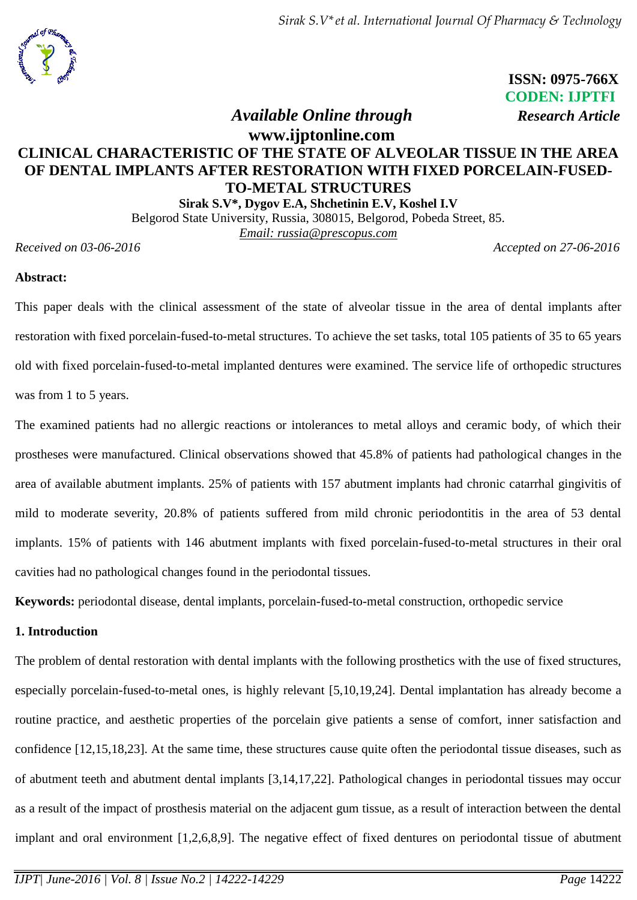*Sirak S.V\*et al. International Journal Of Pharmacy & Technology*



 **ISSN: 0975-766X CODEN: IJPTFI**  *Available Online through Research Article*

# **www.ijptonline.com CLINICAL CHARACTERISTIC OF THE STATE OF ALVEOLAR TISSUE IN THE AREA OF DENTAL IMPLANTS AFTER RESTORATION WITH FIXED PORCELAIN-FUSED-TO-METAL STRUCTURES**

**Sirak S.V\*, Dygov E.A, Shchetinin E.V, Koshel I.V** Belgorod State University, Russia, 308015, Belgorod, Pobeda Street, 85. *Email: [russia@prescopus.com](mailto:anrietta25@mail.ru)*

*Received on 03-06-2016 Accepted on 27-06-2016*

# **Abstract:**

This paper deals with the clinical assessment of the state of alveolar tissue in the area of dental implants after restoration with fixed porcelain-fused-to-metal structures. To achieve the set tasks, total 105 patients of 35 to 65 years old with fixed porcelain-fused-to-metal implanted dentures were examined. The service life of orthopedic structures was from 1 to 5 years.

The examined patients had no allergic reactions or intolerances to metal alloys and ceramic body, of which their prostheses were manufactured. Clinical observations showed that 45.8% of patients had pathological changes in the area of available abutment implants. 25% of patients with 157 abutment implants had chronic catarrhal gingivitis of mild to moderate severity, 20.8% of patients suffered from mild chronic periodontitis in the area of 53 dental implants. 15% of patients with 146 abutment implants with fixed porcelain-fused-to-metal structures in their oral cavities had no pathological changes found in the periodontal tissues.

**Keywords:** periodontal disease, dental implants, porcelain-fused-to-metal construction, orthopedic service

# **1. Introduction**

The problem of dental restoration with dental implants with the following prosthetics with the use of fixed structures, especially porcelain-fused-to-metal ones, is highly relevant [5,10,19,24]. Dental implantation has already become a routine practice, and aesthetic properties of the porcelain give patients a sense of comfort, inner satisfaction and confidence [12,15,18,23]. At the same time, these structures cause quite often the periodontal tissue diseases, such as of abutment teeth and abutment dental implants [3,14,17,22]. Pathological changes in periodontal tissues may occur as a result of the impact of prosthesis material on the adjacent gum tissue, as a result of interaction between the dental implant and oral environment [1,2,6,8,9]. The negative effect of fixed dentures on periodontal tissue of abutment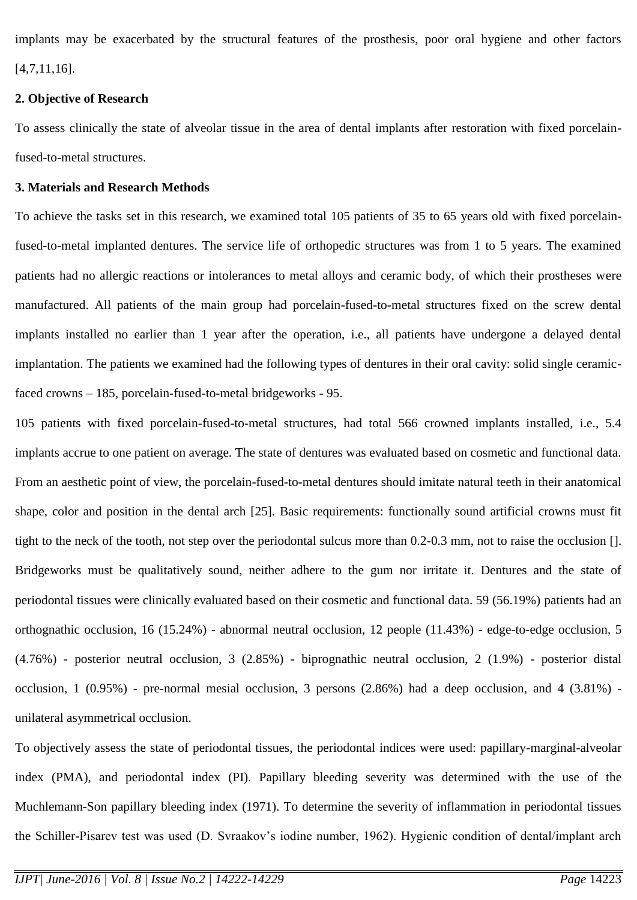implants may be exacerbated by the structural features of the prosthesis, poor oral hygiene and other factors [4,7,11,16].

# **2. Objective of Research**

To assess clinically the state of alveolar tissue in the area of dental implants after restoration with fixed porcelainfused-to-metal structures.

# **3. Materials and Research Methods**

To achieve the tasks set in this research, we examined total 105 patients of 35 to 65 years old with fixed porcelainfused-to-metal implanted dentures. The service life of orthopedic structures was from 1 to 5 years. The examined patients had no allergic reactions or intolerances to metal alloys and ceramic body, of which their prostheses were manufactured. All patients of the main group had porcelain-fused-to-metal structures fixed on the screw dental implants installed no earlier than 1 year after the operation, i.e., all patients have undergone a delayed dental implantation. The patients we examined had the following types of dentures in their oral cavity: solid single ceramicfaced crowns – 185, porcelain-fused-to-metal bridgeworks - 95.

105 patients with fixed porcelain-fused-to-metal structures, had total 566 crowned implants installed, i.e., 5.4 implants accrue to one patient on average. The state of dentures was evaluated based on cosmetic and functional data. From an aesthetic point of view, the porcelain-fused-to-metal dentures should imitate natural teeth in their anatomical shape, color and position in the dental arch [25]. Basic requirements: functionally sound artificial crowns must fit tight to the neck of the tooth, not step over the periodontal sulcus more than 0.2-0.3 mm, not to raise the occlusion []. Bridgeworks must be qualitatively sound, neither adhere to the gum nor irritate it. Dentures and the state of periodontal tissues were clinically evaluated based on their cosmetic and functional data. 59 (56.19%) patients had an orthognathic occlusion, 16 (15.24%) - abnormal neutral occlusion, 12 people (11.43%) - edge-to-edge occlusion, 5 (4.76%) - posterior neutral occlusion, 3 (2.85%) - biprognathic neutral occlusion, 2 (1.9%) - posterior distal occlusion, 1 (0.95%) - pre-normal mesial occlusion, 3 persons (2.86%) had a deep occlusion, and 4 (3.81%) unilateral asymmetrical occlusion.

To objectively assess the state of periodontal tissues, the periodontal indices were used: papillary-marginal-alveolar index (PMA), and periodontal index (PI). Papillary bleeding severity was determined with the use of the Muchlemann-Son papillary bleeding index (1971). To determine the severity of inflammation in periodontal tissues the Schiller-Pisarev test was used (D. Svraakov's iodine number, 1962). Hygienic condition of dental/implant arch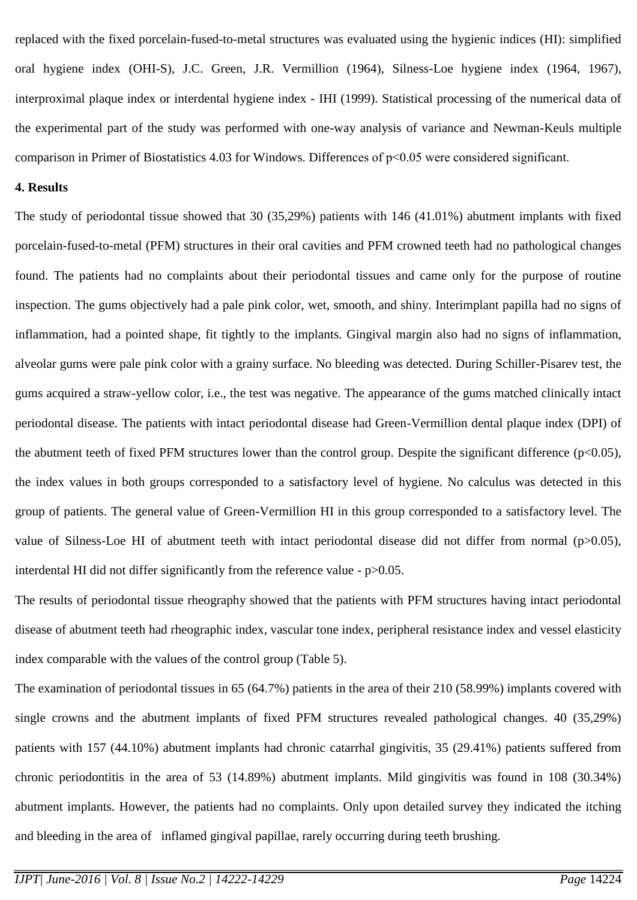replaced with the fixed porcelain-fused-to-metal structures was evaluated using the hygienic indices (HI): simplified oral hygiene index (OHI-S), J.C. Green, J.R. Vermillion (1964), Silness-Loe hygiene index (1964, 1967), interproximal plaque index or interdental hygiene index - IHI (1999). Statistical processing of the numerical data of the experimental part of the study was performed with one-way analysis of variance and Newman-Keuls multiple comparison in Primer of Biostatistics 4.03 for Windows. Differences of  $p<0.05$  were considered significant.

# **4. Results**

The study of periodontal tissue showed that 30 (35,29%) patients with 146 (41.01%) abutment implants with fixed porcelain-fused-to-metal (PFM) structures in their oral cavities and PFM crowned teeth had no pathological changes found. The patients had no complaints about their periodontal tissues and came only for the purpose of routine inspection. The gums objectively had a pale pink color, wet, smooth, and shiny. Interimplant papilla had no signs of inflammation, had a pointed shape, fit tightly to the implants. Gingival margin also had no signs of inflammation, alveolar gums were pale pink color with a grainy surface. No bleeding was detected. During Schiller-Pisarev test, the gums acquired a straw-yellow color, i.e., the test was negative. The appearance of the gums matched clinically intact periodontal disease. The patients with intact periodontal disease had Green-Vermillion dental plaque index (DPI) of the abutment teeth of fixed PFM structures lower than the control group. Despite the significant difference  $(p<0.05)$ , the index values in both groups corresponded to a satisfactory level of hygiene. No calculus was detected in this group of patients. The general value of Green-Vermillion HI in this group corresponded to a satisfactory level. The value of Silness-Loe HI of abutment teeth with intact periodontal disease did not differ from normal (p>0.05), interdental HI did not differ significantly from the reference value - p>0.05.

The results of periodontal tissue rheography showed that the patients with PFM structures having intact periodontal disease of abutment teeth had rheographic index, vascular tone index, peripheral resistance index and vessel elasticity index comparable with the values of the control group (Table 5).

The examination of periodontal tissues in 65 (64.7%) patients in the area of their 210 (58.99%) implants covered with single crowns and the abutment implants of fixed PFM structures revealed pathological changes. 40 (35,29%) patients with 157 (44.10%) abutment implants had chronic catarrhal gingivitis, 35 (29.41%) patients suffered from chronic periodontitis in the area of 53 (14.89%) abutment implants. Mild gingivitis was found in 108 (30.34%) abutment implants. However, the patients had no complaints. Only upon detailed survey they indicated the itching and bleeding in the area of inflamed gingival papillae, rarely occurring during teeth brushing.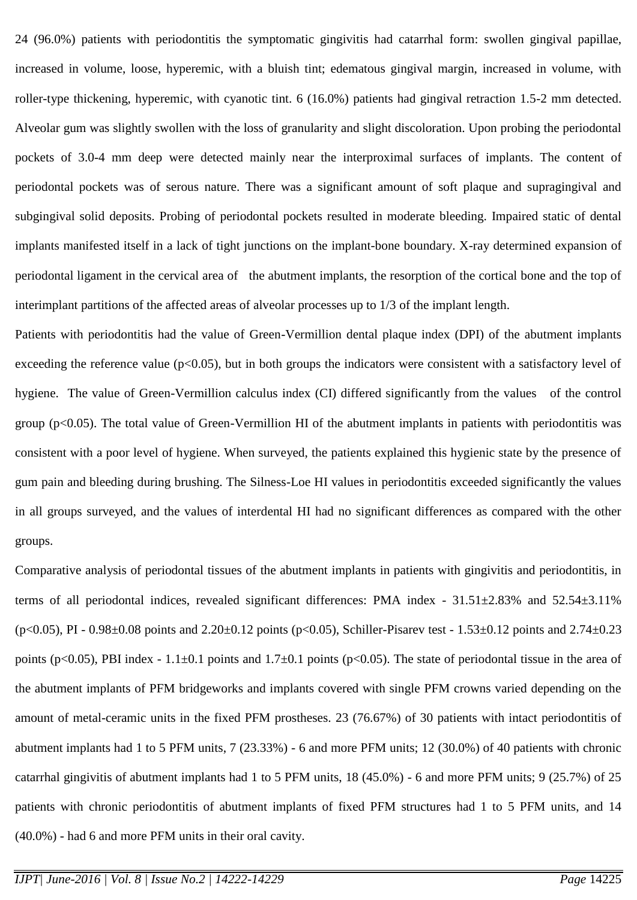24 (96.0%) patients with periodontitis the symptomatic gingivitis had catarrhal form: swollen gingival papillae, increased in volume, loose, hyperemic, with a bluish tint; edematous gingival margin, increased in volume, with roller-type thickening, hyperemic, with cyanotic tint. 6 (16.0%) patients had gingival retraction 1.5-2 mm detected. Alveolar gum was slightly swollen with the loss of granularity and slight discoloration. Upon probing the periodontal pockets of 3.0-4 mm deep were detected mainly near the interproximal surfaces of implants. The content of periodontal pockets was of serous nature. There was a significant amount of soft plaque and supragingival and subgingival solid deposits. Probing of periodontal pockets resulted in moderate bleeding. Impaired static of dental implants manifested itself in a lack of tight junctions on the implant-bone boundary. X-ray determined expansion of periodontal ligament in the cervical area of the abutment implants, the resorption of the cortical bone and the top of interimplant partitions of the affected areas of alveolar processes up to 1/3 of the implant length.

Patients with periodontitis had the value of Green-Vermillion dental plaque index (DPI) of the abutment implants exceeding the reference value ( $p<0.05$ ), but in both groups the indicators were consistent with a satisfactory level of hygiene. The value of Green-Vermillion calculus index (CI) differed significantly from the values of the control group ( $p<0.05$ ). The total value of Green-Vermillion HI of the abutment implants in patients with periodontitis was consistent with a poor level of hygiene. When surveyed, the patients explained this hygienic state by the presence of gum pain and bleeding during brushing. The Silness-Loe HI values in periodontitis exceeded significantly the values in all groups surveyed, and the values of interdental HI had no significant differences as compared with the other groups.

Comparative analysis of periodontal tissues of the abutment implants in patients with gingivitis and periodontitis, in terms of all periodontal indices, revealed significant differences: PMA index - 31.51±2.83% and 52.54±3.11%  $(p<0.05)$ , PI - 0.98 $\pm$ 0.08 points and 2.20 $\pm$ 0.12 points (p $<$ 0.05), Schiller-Pisarev test - 1.53 $\pm$ 0.12 points and 2.74 $\pm$ 0.23 points (p<0.05), PBI index - 1.1 $\pm$ 0.1 points and 1.7 $\pm$ 0.1 points (p<0.05). The state of periodontal tissue in the area of the abutment implants of PFM bridgeworks and implants covered with single PFM crowns varied depending on the amount of metal-ceramic units in the fixed PFM prostheses. 23 (76.67%) of 30 patients with intact periodontitis of abutment implants had 1 to 5 PFM units, 7 (23.33%) - 6 and more PFM units; 12 (30.0%) of 40 patients with chronic catarrhal gingivitis of abutment implants had 1 to 5 PFM units, 18 (45.0%) - 6 and more PFM units; 9 (25.7%) of 25 patients with chronic periodontitis of abutment implants of fixed PFM structures had 1 to 5 PFM units, and 14 (40.0%) - had 6 and more PFM units in their oral cavity.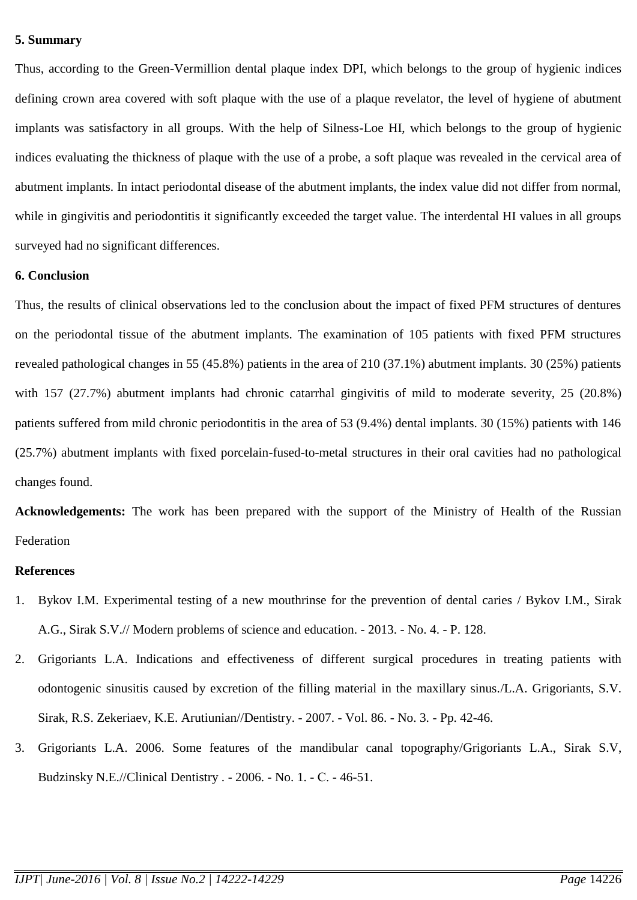#### **5. Summary**

Thus, according to the Green-Vermillion dental plaque index DPI, which belongs to the group of hygienic indices defining crown area covered with soft plaque with the use of a plaque revelator, the level of hygiene of abutment implants was satisfactory in all groups. With the help of Silness-Loe HI, which belongs to the group of hygienic indices evaluating the thickness of plaque with the use of a probe, a soft plaque was revealed in the cervical area of abutment implants. In intact periodontal disease of the abutment implants, the index value did not differ from normal, while in gingivitis and periodontitis it significantly exceeded the target value. The interdental HI values in all groups surveyed had no significant differences.

#### **6. Conclusion**

Thus, the results of clinical observations led to the conclusion about the impact of fixed PFM structures of dentures on the periodontal tissue of the abutment implants. The examination of 105 patients with fixed PFM structures revealed pathological changes in 55 (45.8%) patients in the area of 210 (37.1%) abutment implants. 30 (25%) patients with 157 (27.7%) abutment implants had chronic catarrhal gingivitis of mild to moderate severity, 25 (20.8%) patients suffered from mild chronic periodontitis in the area of 53 (9.4%) dental implants. 30 (15%) patients with 146 (25.7%) abutment implants with fixed porcelain-fused-to-metal structures in their oral cavities had no pathological changes found.

**Acknowledgements:** The work has been prepared with the support of the Ministry of Health of the Russian Federation

#### **References**

- 1. Bykov I.M. [Experimental testing of a new mouthrinse for the prevention of dental caries](http://elibrary.ru/item.asp?id=20848214) / Bykov I.M., Sirak A.G., Sirak S.V.// [Modern problems of science and education.](http://elibrary.ru/contents.asp?issueid=1219728) - 2013. - [No. 4.](http://elibrary.ru/contents.asp?issueid=1219728&selid=20848214) - P. 128.
- 2. Grigoriants L.A. [Indications and effectiveness of different surgical procedures in treating patients with](http://elibrary.ru/item.asp?id=9518774)  [odontogenic sinusitis caused by excretion of the filling material in the maxillary sinus./](http://elibrary.ru/item.asp?id=9518774)L.A. Grigoriants, S.V. Sirak, R.S. Zekeriaev, K.E. Arutiunian/[/Dentistry.](http://elibrary.ru/contents.asp?issueid=436227) - 2007. - Vol. 86. - [No.](http://elibrary.ru/contents.asp?issueid=436227&selid=9518774) 3. - Pp. 42-46.
- 3. Grigoriants L.A. [2006. Some features of the mandibular canal topography/](http://elibrary.ru/item.asp?id=9283708)Grigoriants L.A., Sirak S.V, Budzinsky N.E./[/Clinical Dentistry .](http://elibrary.ru/contents.asp?issueid=428948) - 2006. - [No. 1.](http://elibrary.ru/contents.asp?issueid=428948&selid=9283708) - С. - 46-51.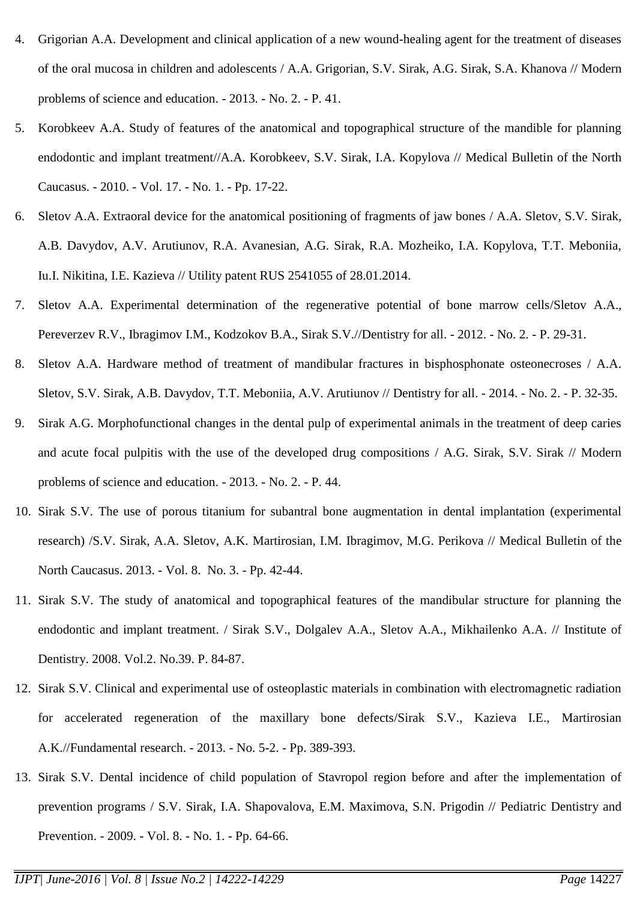- 4. Grigorian A.A. [Development and clinical application of a new wound-healing agent for the treatment of diseases](http://elibrary.ru/item.asp?id=21285392)  [of the oral mucosa in children and adolescents](http://elibrary.ru/item.asp?id=21285392) / A.A. Grigorian, S.V. Sirak, A.G. Sirak, S.A. Khanova // [Modern](http://elibrary.ru/contents.asp?issueid=1250743)  [problems of science and education.](http://elibrary.ru/contents.asp?issueid=1250743) - 2013. - [No. 2.](http://elibrary.ru/contents.asp?issueid=1250743&selid=21285392) - P. 41.
- 5. Korobkeev A.A. [Study of features of the anatomical and topographical structure of the mandible for planning](http://elibrary.ru/item.asp?id=15287654)  [endodontic and implant treatment/](http://elibrary.ru/item.asp?id=15287654)/A.A. Korobkeev, S.V. Sirak, I.A. Kopylova // [Medical Bulletin of the North](http://elibrary.ru/contents.asp?issueid=874097)  [Caucasus.](http://elibrary.ru/contents.asp?issueid=874097) - 2010. - Vol. 17. - [No.](http://elibrary.ru/contents.asp?issueid=874097&selid=15287654) 1. - Pp. 17-22.
- 6. Sletov A.A. [Extraoral device for the anatomical positioning of fragments of jaw bones](http://elibrary.ru/item.asp?id=24278418) / A.A. Sletov, S.V. Sirak, A.B. Davydov, A.V. Arutiunov, R.A. Avanesian, A.G. Sirak, R.A. Mozheiko, I.A. Kopylova, T.T. Meboniia, Iu.I. Nikitina, I.E. Kazieva // Utility patent RUS 2541055 of 28.01.2014.
- 7. Sletov A.A. [Experimental determination of the regenerative potential of bone marrow cells/](http://elibrary.ru/contents.asp?issueid=1026786)Sletov A.A., Pereverzev R.V., Ibragimov I.M., Kodzokov B.A., Sirak S.V./[/Dentistry for all.](http://elibrary.ru/item.asp?id=17876413) - 2012. - [No. 2.](http://elibrary.ru/contents.asp?issueid=1026786&selid=17876413) - P. 29-31.
- 8. Sletov A.A. [Hardware method of treatment of mandibular fractures in bisphosphonate osteonecroses](http://elibrary.ru/item.asp?id=22515405) / A.A. Sletov, S.V. Sirak, A.B. Davydov, T.T. Meboniia, A.V. Arutiunov // [Dentistry for all.](http://elibrary.ru/contents.asp?issueid=1348657) - 2014. - [No. 2.](http://elibrary.ru/contents.asp?issueid=1348657&selid=22515405) - P. 32-35.
- 9. Sirak A.G. [Morphofunctional changes in the dental pulp of experimental animals in the treatment of deep caries](http://elibrary.ru/item.asp?id=21285395)  [and acute focal pulpitis with the use of the developed drug compositions](http://elibrary.ru/item.asp?id=21285395) / A.G. Sirak, S.V. Sirak // [Modern](http://elibrary.ru/contents.asp?issueid=1250743)  [problems of science and education.](http://elibrary.ru/contents.asp?issueid=1250743) - 2013. - [No. 2.](http://elibrary.ru/contents.asp?issueid=1250743&selid=21285395) - P. 44.
- 10. Sirak S.V. [The use of porous titanium for subantral bone augmentation in dental implantation \(experimental](http://elibrary.ru/item.asp?id=20402430)  [research\) /](http://elibrary.ru/item.asp?id=20402430)S.V. Sirak, A.A. Sletov, A.K. Martirosian, I.M. Ibragimov, M.G. Perikova // [Medical Bulletin of the](http://elibrary.ru/contents.asp?issueid=1148104)  [North Caucasus.](http://elibrary.ru/contents.asp?issueid=1148104) 2013. - Vol. 8. [No.](http://elibrary.ru/contents.asp?issueid=1148104&selid=20402430) 3. - Pp. 42-44.
- 11. Sirak S.V. [The study of anatomical and topographical features of the mandibular structure for planning the](http://elibrary.ru/item.asp?id=15275830)  [endodontic and implant treatment.](http://elibrary.ru/item.asp?id=15275830) / Sirak S.V., Dolgalev A.A., Sletov A.A., Mikhailenko A.A. // [Institute of](http://elibrary.ru/contents.asp?issueid=873524)  [Dentistry.](http://elibrary.ru/contents.asp?issueid=873524) 2008. Vol.2. [No.39.](http://elibrary.ru/contents.asp?issueid=873524&selid=15275830) P. 84-87.
- 12. Sirak S.V. [Clinical and experimental use of osteoplastic materials in combination with electromagnetic radiation](http://elibrary.ru/item.asp?id=19034835)  [for accelerated regeneration of the maxillary bone defects/](http://elibrary.ru/item.asp?id=19034835)Sirak S.V., Kazieva I.E., Martirosian A.K./[/Fundamental research.](http://elibrary.ru/contents.asp?issueid=1120683) - 2013. - No. [5-2.](http://elibrary.ru/contents.asp?issueid=1120683&selid=19034835) - Pp. 389-393.
- 13. Sirak S.V. [Dental incidence of child population of Stavropol region before and after the implementation of](http://elibrary.ru/item.asp?id=11898874)  [prevention programs](http://elibrary.ru/item.asp?id=11898874) / S.V. Sirak, I.A. Shapovalova, E.M. Maximova, S.N. Prigodin // [Pediatric Dentistry and](http://elibrary.ru/contents.asp?issueid=557185)  [Prevention.](http://elibrary.ru/contents.asp?issueid=557185) - 2009. - Vol. 8. - [No. 1.](http://elibrary.ru/contents.asp?issueid=557185&selid=11898874) - Pp. 64-66.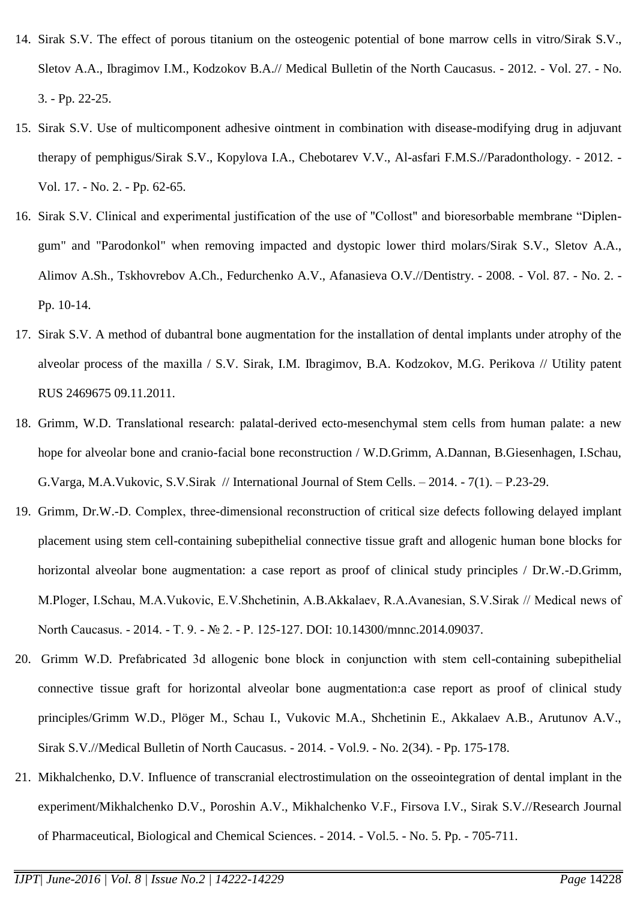- 14. Sirak S.V. [The effect of porous titanium on the osteogenic potential of bone marrow cells in vitro/](http://elibrary.ru/item.asp?id=17992889)Sirak S.V., Sletov A.A., Ibragimov I.M., Kodzokov B.A.// [Medical Bulletin of the North Caucasus.](http://elibrary.ru/contents.asp?issueid=1036740) - 2012. - Vol. 27. - [No.](http://elibrary.ru/contents.asp?issueid=1036740&selid=17992889)  [3.](http://elibrary.ru/contents.asp?issueid=1036740&selid=17992889) - Pp. 22-25.
- 15. Sirak S.V. [Use of multicomponent adhesive ointment in combination with disease-modifying drug in adjuvant](http://elibrary.ru/item.asp?id=17738462)  [therapy of pemphigus/](http://elibrary.ru/item.asp?id=17738462)Sirak S.V., Kopylova I.A., Chebotarev V.V., Al-asfari F.M.S./[/Paradonthology.](http://elibrary.ru/contents.asp?issueid=1016781) - 2012. - Vol. 17. - [No. 2.](http://elibrary.ru/contents.asp?issueid=1016781&selid=17738462) - Pp. 62-65.
- 16. Sirak S.V. [Clinical and experimental justification of the use of "Collost" and bioresorbable membrane "Diplen](http://elibrary.ru/item.asp?id=11517379)[gum" and "Parodonkol" when removing impacted and dystopic lower third molars/](http://elibrary.ru/item.asp?id=11517379)Sirak S.V., Sletov A.A., Alimov A.Sh., Tskhovrebov A.Ch., Fedurchenko A.V., Afanasieva O.V./[/Dentistry.](http://elibrary.ru/contents.asp?issueid=521180) - 2008. - Vol. 87. - [No. 2.](http://elibrary.ru/contents.asp?issueid=521180&selid=11517379) - Pp. 10-14.
- 17. Sirak S.V. [A method of dubantral bone augmentation for the installation of dental implants under atrophy of the](http://elibrary.ru/item.asp?id=18467404)  [alveolar process of the maxilla](http://elibrary.ru/item.asp?id=18467404) / S.V. Sirak, I.M. Ibragimov, B.A. Kodzokov, M.G. Perikova // Utility patent RUS 2469675 09.11.2011.
- 18. Grimm, W.D. [Тranslational research: palatal-derived ecto-mesenchymal stem cells from human palate: a new](http://elibrary.ru/item.asp?id=21680214)  [hope for alveolar bone and cranio-facial bone reconstruction](http://elibrary.ru/item.asp?id=21680214) / W.D.Grimm, A.Dannan, B.Giesenhagen, I.Schau, G.Varga, M.A.Vukovic, S.V.Sirak // [International Journal of Stem Cells.](http://elibrary.ru/contents.asp?issueid=1276492) – 2014. - 7[\(1\). –](http://elibrary.ru/contents.asp?issueid=1276492&selid=21680214) P.23-29.
- 19. Grimm, Dr.W.-D. Сomplex, three-dimensional reconstruction of critical size defects following delayed implant placement using stem cell-containing subepithelial connective tissue graft and allogenic human bone blocks for horizontal alveolar bone augmentation: a case report as proof of clinical study principles / Dr.W.-D.Grimm, M.Ploger, I.Schau, M.A.Vukovic, E.V.Shchetinin, А.B.Akkalaev, R.A.Avanesian, S.V.Sirak // Medical news of North Сaucasus. - 2014. - Т. 9. - № 2. - Р. 125-127. DOI: [10.14300/mnnc.2014.09037.](http://dx.doi.org/10.14300/mnnc.2014.09037)
- 20. Grimm W.D. [Рrefabricated 3d allogenic bone block in conjunction with stem cell-containing subepithelial](http://elibrary.ru/item.asp?id=21762328)  [connective tissue graft for horizontal alveolar bone augmentation:a case report as proof of clinical study](http://elibrary.ru/item.asp?id=21762328)  [principles/](http://elibrary.ru/item.asp?id=21762328)Grimm W.D., Plöger M., Schau I., Vukovic M.A., Shchetinin E., Akkalaev A.B., Arutunov A.V., Sirak S.V./[/Medical Bulletin of North Caucasus.](http://elibrary.ru/contents.asp?issueid=1281242) - 2014. - Vol.9. - [No. 2\(34\).](http://elibrary.ru/contents.asp?issueid=1281242&selid=21762328) - Pp. 175-178.
- 21. Mikhalchenko, D.V. [Influence of transcranial electrostimulation on the osseointegration of dental implant in the](http://elibrary.ru/item.asp?id=21988526)  [experiment/](http://elibrary.ru/item.asp?id=21988526)Mikhalchenko D.V., Poroshin A.V., Mikhalchenko V.F., Firsova I.V., Sirak S.V./[/Research Journal](http://elibrary.ru/contents.asp?issueid=1299477)  [of Pharmaceutical, Biological and Chemical Sciences.](http://elibrary.ru/contents.asp?issueid=1299477) - 2014. - Vol.5. - [No.](http://elibrary.ru/contents.asp?issueid=1299477&selid=21988526) 5. Pp. - 705-711.